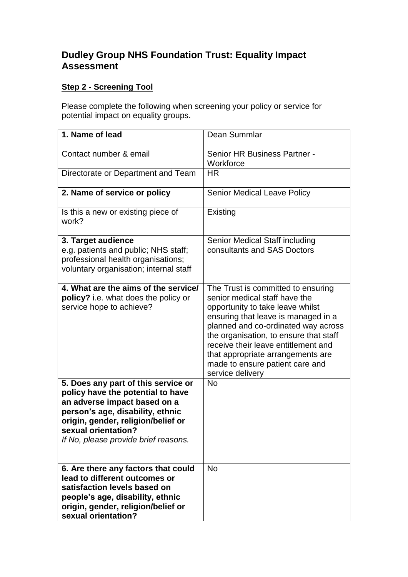## **Dudley Group NHS Foundation Trust: Equality Impact Assessment**

## **Step 2 - Screening Tool**

Please complete the following when screening your policy or service for potential impact on equality groups.

| 1. Name of lead                                                                                                                                                                                                                                   | Dean Summlar                                                                                                                                                                                                                                                                                                                                                       |
|---------------------------------------------------------------------------------------------------------------------------------------------------------------------------------------------------------------------------------------------------|--------------------------------------------------------------------------------------------------------------------------------------------------------------------------------------------------------------------------------------------------------------------------------------------------------------------------------------------------------------------|
| Contact number & email                                                                                                                                                                                                                            | Senior HR Business Partner -<br>Workforce                                                                                                                                                                                                                                                                                                                          |
| Directorate or Department and Team                                                                                                                                                                                                                | <b>HR</b>                                                                                                                                                                                                                                                                                                                                                          |
| 2. Name of service or policy                                                                                                                                                                                                                      | <b>Senior Medical Leave Policy</b>                                                                                                                                                                                                                                                                                                                                 |
| Is this a new or existing piece of<br>work?                                                                                                                                                                                                       | Existing                                                                                                                                                                                                                                                                                                                                                           |
| 3. Target audience<br>e.g. patients and public; NHS staff;<br>professional health organisations;<br>voluntary organisation; internal staff                                                                                                        | Senior Medical Staff including<br>consultants and SAS Doctors                                                                                                                                                                                                                                                                                                      |
| 4. What are the aims of the service/<br>policy? i.e. what does the policy or<br>service hope to achieve?                                                                                                                                          | The Trust is committed to ensuring<br>senior medical staff have the<br>opportunity to take leave whilst<br>ensuring that leave is managed in a<br>planned and co-ordinated way across<br>the organisation, to ensure that staff<br>receive their leave entitlement and<br>that appropriate arrangements are<br>made to ensure patient care and<br>service delivery |
| 5. Does any part of this service or<br>policy have the potential to have<br>an adverse impact based on a<br>person's age, disability, ethnic<br>origin, gender, religion/belief or<br>sexual orientation?<br>If No, please provide brief reasons. | <b>No</b>                                                                                                                                                                                                                                                                                                                                                          |
| 6. Are there any factors that could<br>lead to different outcomes or<br>satisfaction levels based on<br>people's age, disability, ethnic<br>origin, gender, religion/belief or<br>sexual orientation?                                             | <b>No</b>                                                                                                                                                                                                                                                                                                                                                          |